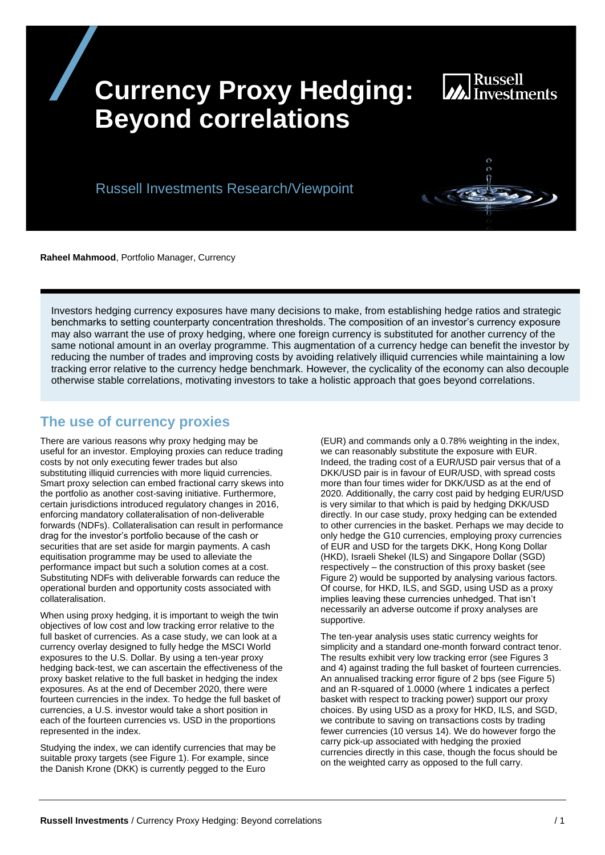# **Currency Proxy Hedging: Beyond correlations**



Russell Investments Research/Viewpoint



**Raheel Mahmood**, Portfolio Manager, Currency

Investors hedging currency exposures have many decisions to make, from establishing hedge ratios and strategic benchmarks to setting counterparty concentration thresholds. The composition of an investor's currency exposure may also warrant the use of proxy hedging, where one foreign currency is substituted for another currency of the same notional amount in an overlay programme. This augmentation of a currency hedge can benefit the investor by reducing the number of trades and improving costs by avoiding relatively illiquid currencies while maintaining a low tracking error relative to the currency hedge benchmark. However, the cyclicality of the economy can also decouple otherwise stable correlations, motivating investors to take a holistic approach that goes beyond correlations.

## **The use of currency proxies**

There are various reasons why proxy hedging may be useful for an investor. Employing proxies can reduce trading costs by not only executing fewer trades but also substituting illiquid currencies with more liquid currencies. Smart proxy selection can embed fractional carry skews into the portfolio as another cost-saving initiative. Furthermore, certain jurisdictions introduced regulatory changes in 2016, enforcing mandatory collateralisation of non-deliverable forwards (NDFs). Collateralisation can result in performance drag for the investor's portfolio because of the cash or securities that are set aside for margin payments. A cash equitisation programme may be used to alleviate the performance impact but such a solution comes at a cost. Substituting NDFs with deliverable forwards can reduce the operational burden and opportunity costs associated with collateralisation.

When using proxy hedging, it is important to weigh the twin objectives of low cost and low tracking error relative to the full basket of currencies. As a case study, we can look at a currency overlay designed to fully hedge the MSCI World exposures to the U.S. Dollar. By using a ten-year proxy hedging back-test, we can ascertain the effectiveness of the proxy basket relative to the full basket in hedging the index exposures. As at the end of December 2020, there were fourteen currencies in the index. To hedge the full basket of currencies, a U.S. investor would take a short position in each of the fourteen currencies vs. USD in the proportions represented in the index.

Studying the index, we can identify currencies that may be suitable proxy targets (see Figure 1). For example, since the Danish Krone (DKK) is currently pegged to the Euro

(EUR) and commands only a 0.78% weighting in the index, we can reasonably substitute the exposure with EUR. Indeed, the trading cost of a EUR/USD pair versus that of a DKK/USD pair is in favour of EUR/USD, with spread costs more than four times wider for DKK/USD as at the end of 2020. Additionally, the carry cost paid by hedging EUR/USD is very similar to that which is paid by hedging DKK/USD directly. In our case study, proxy hedging can be extended to other currencies in the basket. Perhaps we may decide to only hedge the G10 currencies, employing proxy currencies of EUR and USD for the targets DKK, Hong Kong Dollar (HKD), Israeli Shekel (ILS) and Singapore Dollar (SGD) respectively – the construction of this proxy basket (see Figure 2) would be supported by analysing various factors. Of course, for HKD, ILS, and SGD, using USD as a proxy implies leaving these currencies unhedged. That isn't necessarily an adverse outcome if proxy analyses are supportive.

The ten-year analysis uses static currency weights for simplicity and a standard one-month forward contract tenor. The results exhibit very low tracking error (see Figures 3 and 4) against trading the full basket of fourteen currencies. An annualised tracking error figure of 2 bps (see Figure 5) and an R-squared of 1.0000 (where 1 indicates a perfect basket with respect to tracking power) support our proxy choices. By using USD as a proxy for HKD, ILS, and SGD, we contribute to saving on transactions costs by trading fewer currencies (10 versus 14). We do however forgo the carry pick-up associated with hedging the proxied currencies directly in this case, though the focus should be on the weighted carry as opposed to the full carry.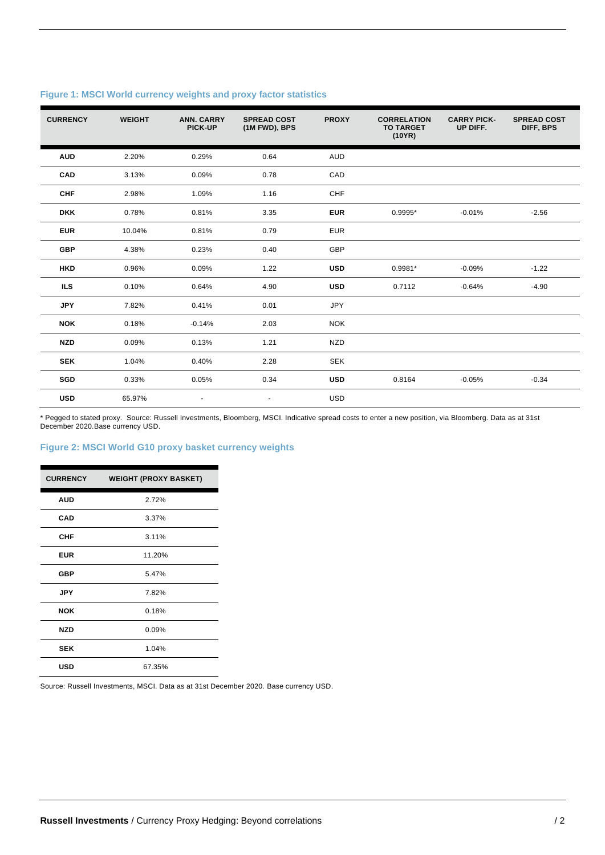| <b>CURRENCY</b> | <b>WEIGHT</b> | <b>ANN. CARRY</b><br><b>PICK-UP</b> | <b>SPREAD COST</b><br>(1M FWD), BPS | <b>PROXY</b> | <b>CORRELATION</b><br><b>TO TARGET</b><br>(10YR) | <b>CARRY PICK-</b><br>UP DIFF. | <b>SPREAD COST</b><br>DIFF, BPS |
|-----------------|---------------|-------------------------------------|-------------------------------------|--------------|--------------------------------------------------|--------------------------------|---------------------------------|
| <b>AUD</b>      | 2.20%         | 0.29%                               | 0.64                                | <b>AUD</b>   |                                                  |                                |                                 |
| <b>CAD</b>      | 3.13%         | 0.09%                               | 0.78                                | CAD          |                                                  |                                |                                 |
| <b>CHF</b>      | 2.98%         | 1.09%                               | 1.16                                | CHF          |                                                  |                                |                                 |
| <b>DKK</b>      | 0.78%         | 0.81%                               | 3.35                                | <b>EUR</b>   | $0.9995*$                                        | $-0.01%$                       | $-2.56$                         |
| <b>EUR</b>      | 10.04%        | 0.81%                               | 0.79                                | <b>EUR</b>   |                                                  |                                |                                 |
| <b>GBP</b>      | 4.38%         | 0.23%                               | 0.40                                | GBP          |                                                  |                                |                                 |
| <b>HKD</b>      | 0.96%         | 0.09%                               | 1.22                                | <b>USD</b>   | $0.9981*$                                        | $-0.09%$                       | $-1.22$                         |
| <b>ILS</b>      | 0.10%         | 0.64%                               | 4.90                                | <b>USD</b>   | 0.7112                                           | $-0.64%$                       | $-4.90$                         |
| <b>JPY</b>      | 7.82%         | 0.41%                               | 0.01                                | <b>JPY</b>   |                                                  |                                |                                 |
| <b>NOK</b>      | 0.18%         | $-0.14%$                            | 2.03                                | <b>NOK</b>   |                                                  |                                |                                 |
| <b>NZD</b>      | 0.09%         | 0.13%                               | 1.21                                | <b>NZD</b>   |                                                  |                                |                                 |
| <b>SEK</b>      | 1.04%         | 0.40%                               | 2.28                                | <b>SEK</b>   |                                                  |                                |                                 |
| SGD             | 0.33%         | 0.05%                               | 0.34                                | <b>USD</b>   | 0.8164                                           | $-0.05%$                       | $-0.34$                         |
| <b>USD</b>      | 65.97%        | $\overline{\phantom{a}}$            | $\overline{\phantom{a}}$            | <b>USD</b>   |                                                  |                                |                                 |

## **Figure 1: MSCI World currency weights and proxy factor statistics**

\* Pegged to stated proxy. Source: Russell Investments, Bloomberg, MSCI. Indicative spread costs to enter a new position, via Bloomberg. Data as at 31st December 2020.Base currency USD.

#### **Figure 2: MSCI World G10 proxy basket currency weights**

| <b>CURRENCY</b> | <b>WEIGHT (PROXY BASKET)</b> |
|-----------------|------------------------------|
| <b>AUD</b>      | 2.72%                        |
| <b>CAD</b>      | 3.37%                        |
| <b>CHF</b>      | 3.11%                        |
| <b>EUR</b>      | 11.20%                       |
| <b>GBP</b>      | 5.47%                        |
| <b>JPY</b>      | 7.82%                        |
| NOK             | 0.18%                        |
| <b>NZD</b>      | 0.09%                        |
| <b>SEK</b>      | 1.04%                        |
| USD             | 67.35%                       |

Source: Russell Investments, MSCI. Data as at 31st December 2020. Base currency USD.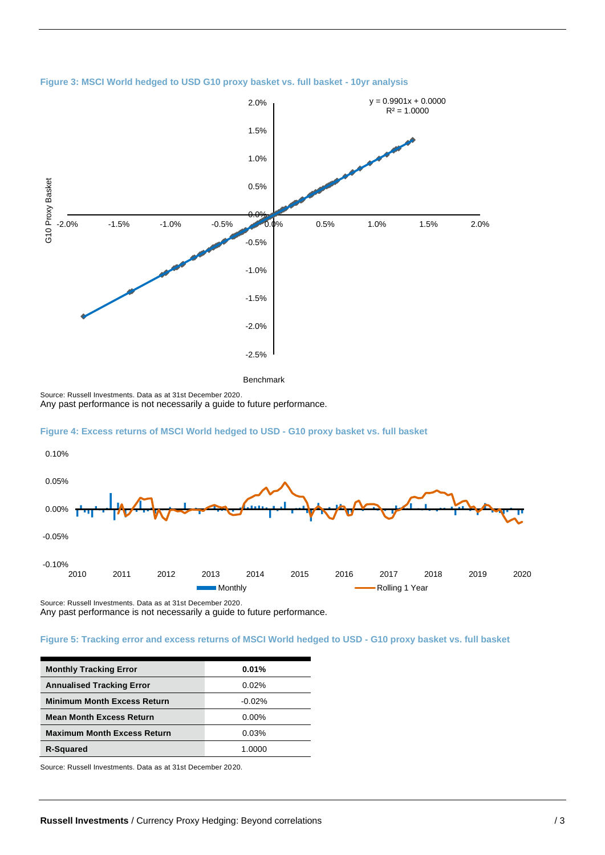

#### **Figure 3: MSCI World hedged to USD G10 proxy basket vs. full basket - 10yr analysis**

Benchmark

Source: Russell Investments. Data as at 31st December 2020. Any past performance is not necessarily a guide to future performance.

#### **Figure 4: Excess returns of MSCI World hedged to USD - G10 proxy basket vs. full basket**



Source: Russell Investments. Data as at 31st December 2020. Any past performance is not necessarily a guide to future performance.

#### **Figure 5: Tracking error and excess returns of MSCI World hedged to USD - G10 proxy basket vs. full basket**

| <b>Monthly Tracking Error</b>      | 0.01%     |
|------------------------------------|-----------|
| <b>Annualised Tracking Error</b>   | 0.02%     |
| <b>Minimum Month Excess Return</b> | $-0.02\%$ |
| <b>Mean Month Excess Return</b>    | $0.00\%$  |
| <b>Maximum Month Excess Return</b> | 0.03%     |
| <b>R-Squared</b>                   | 1.0000    |

Source: Russell Investments. Data as at 31st December 2020.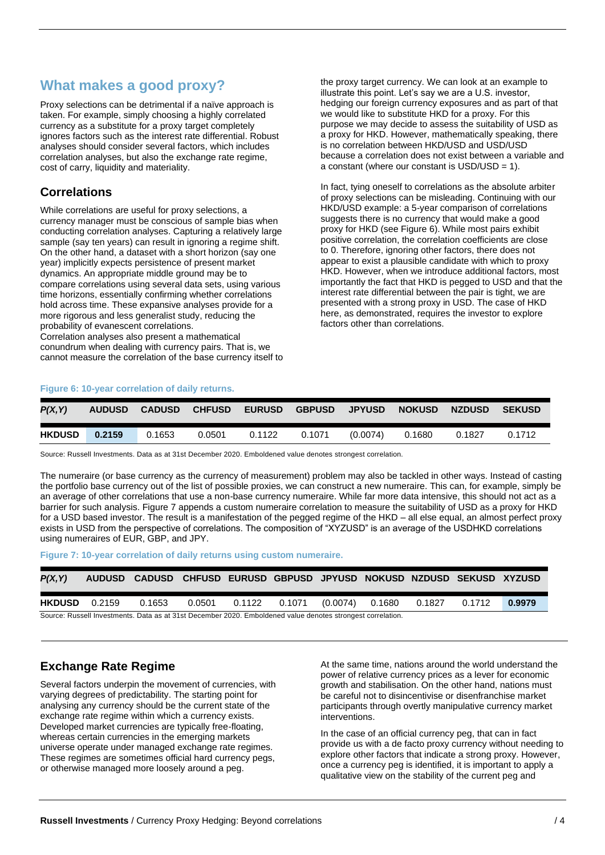## **What makes a good proxy?**

Proxy selections can be detrimental if a naïve approach is taken. For example, simply choosing a highly correlated currency as a substitute for a proxy target completely ignores factors such as the interest rate differential. Robust analyses should consider several factors, which includes correlation analyses, but also the exchange rate regime, cost of carry, liquidity and materiality.

## **Correlations**

While correlations are useful for proxy selections, a currency manager must be conscious of sample bias when conducting correlation analyses. Capturing a relatively large sample (say ten years) can result in ignoring a regime shift. On the other hand, a dataset with a short horizon (say one year) implicitly expects persistence of present market dynamics. An appropriate middle ground may be to compare correlations using several data sets, using various time horizons, essentially confirming whether correlations hold across time. These expansive analyses provide for a more rigorous and less generalist study, reducing the probability of evanescent correlations.

Correlation analyses also present a mathematical conundrum when dealing with currency pairs. That is, we cannot measure the correlation of the base currency itself to the proxy target currency. We can look at an example to illustrate this point. Let's say we are a U.S. investor, hedging our foreign currency exposures and as part of that we would like to substitute HKD for a proxy. For this purpose we may decide to assess the suitability of USD as a proxy for HKD. However, mathematically speaking, there is no correlation between HKD/USD and USD/USD because a correlation does not exist between a variable and a constant (where our constant is USD/USD = 1).

In fact, tying oneself to correlations as the absolute arbiter of proxy selections can be misleading. Continuing with our HKD/USD example: a 5-year comparison of correlations suggests there is no currency that would make a good proxy for HKD (see Figure 6). While most pairs exhibit positive correlation, the correlation coefficients are close to 0. Therefore, ignoring other factors, there does not appear to exist a plausible candidate with which to proxy HKD. However, when we introduce additional factors, most importantly the fact that HKD is pegged to USD and that the interest rate differential between the pair is tight, we are presented with a strong proxy in USD. The case of HKD here, as demonstrated, requires the investor to explore factors other than correlations.

#### **Figure 6: 10-year correlation of daily returns.**

| P(X, Y)       | <b>AUDUSD</b> | <b>CADUSD</b> | <b>CHFUSD</b> | <b>EURUSD</b> | <b>GBPUSD</b> | <b>JPYUSD</b> | <b>NOKUSD</b> | <b>NZDUSD</b> | <b>SEKUSD</b> |  |
|---------------|---------------|---------------|---------------|---------------|---------------|---------------|---------------|---------------|---------------|--|
| <b>HKDUSD</b> | 0.2159        | 0.1653        | 0.0501        | 0.1122        | 0.1071        | (0.0074)      | 0.1680        | 0.1827        | 0.1712        |  |

Source: Russell Investments. Data as at 31st December 2020. Emboldened value denotes strongest correlation.

The numeraire (or base currency as the currency of measurement) problem may also be tackled in other ways. Instead of casting the portfolio base currency out of the list of possible proxies, we can construct a new numeraire. This can, for example, simply be an average of other correlations that use a non-base currency numeraire. While far more data intensive, this should not act as a barrier for such analysis. Figure 7 appends a custom numeraire correlation to measure the suitability of USD as a proxy for HKD for a USD based investor. The result is a manifestation of the pegged regime of the HKD – all else equal, an almost perfect proxy exists in USD from the perspective of correlations. The composition of "XYZUSD" is an average of the USDHKD correlations using numeraires of EUR, GBP, and JPY.

**Figure 7: 10-year correlation of daily returns using custom numeraire.**

| P(X, Y)       |        | AUDUSD CADUSD CHFUSD EURUSD GBPUSD JPYUSD NOKUSD NZDUSD SEKUSD XYZUSD                                       |                 |        |          |        |        |        |        |
|---------------|--------|-------------------------------------------------------------------------------------------------------------|-----------------|--------|----------|--------|--------|--------|--------|
| <b>HKDUSD</b> | 0.2159 | 0.1653                                                                                                      | 0.0501   0.1122 | 0.1071 | (0.0074) | 0.1680 | 0.1827 | 0.1712 | 0.9979 |
|               |        | Source: Russell Investments. Data as at 31st December 2020. Emboldened value denotes strongest correlation. |                 |        |          |        |        |        |        |

## **Exchange Rate Regime**

Several factors underpin the movement of currencies, with varying degrees of predictability. The starting point for analysing any currency should be the current state of the exchange rate regime within which a currency exists. Developed market currencies are typically free-floating, whereas certain currencies in the emerging markets universe operate under managed exchange rate regimes. These regimes are sometimes official hard currency pegs, or otherwise managed more loosely around a peg.

At the same time, nations around the world understand the power of relative currency prices as a lever for economic growth and stabilisation. On the other hand, nations must be careful not to disincentivise or disenfranchise market participants through overtly manipulative currency market interventions.

In the case of an official currency peg, that can in fact provide us with a de facto proxy currency without needing to explore other factors that indicate a strong proxy. However, once a currency peg is identified, it is important to apply a qualitative view on the stability of the current peg and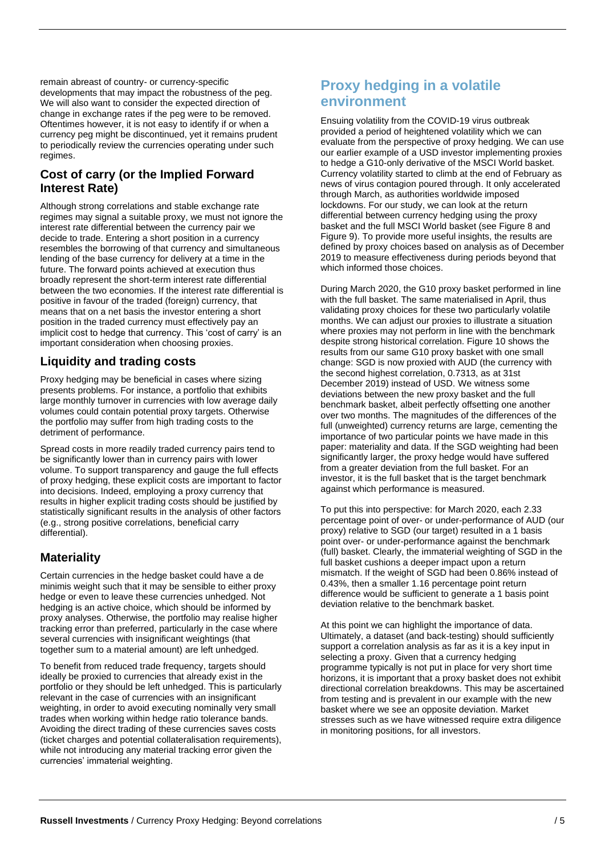remain abreast of country- or currency-specific developments that may impact the robustness of the peg. We will also want to consider the expected direction of change in exchange rates if the peg were to be removed. Oftentimes however, it is not easy to identify if or when a currency peg might be discontinued, yet it remains prudent to periodically review the currencies operating under such regimes.

## **Cost of carry (or the Implied Forward Interest Rate)**

Although strong correlations and stable exchange rate regimes may signal a suitable proxy, we must not ignore the interest rate differential between the currency pair we decide to trade. Entering a short position in a currency resembles the borrowing of that currency and simultaneous lending of the base currency for delivery at a time in the future. The forward points achieved at execution thus broadly represent the short-term interest rate differential between the two economies. If the interest rate differential is positive in favour of the traded (foreign) currency, that means that on a net basis the investor entering a short position in the traded currency must effectively pay an implicit cost to hedge that currency. This 'cost of carry' is an important consideration when choosing proxies.

## **Liquidity and trading costs**

Proxy hedging may be beneficial in cases where sizing presents problems. For instance, a portfolio that exhibits large monthly turnover in currencies with low average daily volumes could contain potential proxy targets. Otherwise the portfolio may suffer from high trading costs to the detriment of performance.

Spread costs in more readily traded currency pairs tend to be significantly lower than in currency pairs with lower volume. To support transparency and gauge the full effects of proxy hedging, these explicit costs are important to factor into decisions. Indeed, employing a proxy currency that results in higher explicit trading costs should be justified by statistically significant results in the analysis of other factors (e.g., strong positive correlations, beneficial carry differential).

## **Materiality**

Certain currencies in the hedge basket could have a de minimis weight such that it may be sensible to either proxy hedge or even to leave these currencies unhedged. Not hedging is an active choice, which should be informed by proxy analyses. Otherwise, the portfolio may realise higher tracking error than preferred, particularly in the case where several currencies with insignificant weightings (that together sum to a material amount) are left unhedged.

To benefit from reduced trade frequency, targets should ideally be proxied to currencies that already exist in the portfolio or they should be left unhedged. This is particularly relevant in the case of currencies with an insignificant weighting, in order to avoid executing nominally very small trades when working within hedge ratio tolerance bands. Avoiding the direct trading of these currencies saves costs (ticket charges and potential collateralisation requirements), while not introducing any material tracking error given the currencies' immaterial weighting.

## **Proxy hedging in a volatile environment**

Ensuing volatility from the COVID-19 virus outbreak provided a period of heightened volatility which we can evaluate from the perspective of proxy hedging. We can use our earlier example of a USD investor implementing proxies to hedge a G10-only derivative of the MSCI World basket. Currency volatility started to climb at the end of February as news of virus contagion poured through. It only accelerated through March, as authorities worldwide imposed lockdowns. For our study, we can look at the return differential between currency hedging using the proxy basket and the full MSCI World basket (see Figure 8 and Figure 9). To provide more useful insights, the results are defined by proxy choices based on analysis as of December 2019 to measure effectiveness during periods beyond that which informed those choices.

During March 2020, the G10 proxy basket performed in line with the full basket. The same materialised in April, thus validating proxy choices for these two particularly volatile months. We can adjust our proxies to illustrate a situation where proxies may not perform in line with the benchmark despite strong historical correlation. Figure 10 shows the results from our same G10 proxy basket with one small change: SGD is now proxied with AUD (the currency with the second highest correlation, 0.7313, as at 31st December 2019) instead of USD. We witness some deviations between the new proxy basket and the full benchmark basket, albeit perfectly offsetting one another over two months. The magnitudes of the differences of the full (unweighted) currency returns are large, cementing the importance of two particular points we have made in this paper: materiality and data. If the SGD weighting had been significantly larger, the proxy hedge would have suffered from a greater deviation from the full basket. For an investor, it is the full basket that is the target benchmark against which performance is measured.

To put this into perspective: for March 2020, each 2.33 percentage point of over- or under-performance of AUD (our proxy) relative to SGD (our target) resulted in a 1 basis point over- or under-performance against the benchmark (full) basket. Clearly, the immaterial weighting of SGD in the full basket cushions a deeper impact upon a return mismatch. If the weight of SGD had been 0.86% instead of 0.43%, then a smaller 1.16 percentage point return difference would be sufficient to generate a 1 basis point deviation relative to the benchmark basket.

At this point we can highlight the importance of data. Ultimately, a dataset (and back-testing) should sufficiently support a correlation analysis as far as it is a key input in selecting a proxy. Given that a currency hedging programme typically is not put in place for very short time horizons, it is important that a proxy basket does not exhibit directional correlation breakdowns. This may be ascertained from testing and is prevalent in our example with the new basket where we see an opposite deviation. Market stresses such as we have witnessed require extra diligence in monitoring positions, for all investors.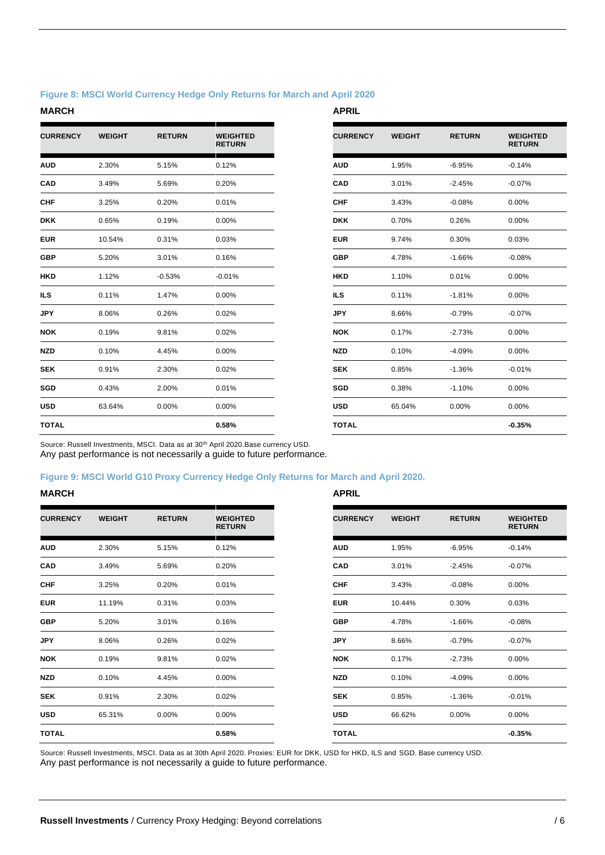## **Figure 8: MSCI World Currency Hedge Only Returns for March and April 2020**

#### **MARCH APRIL**

| <b>CURRENCY</b> | <b>WEIGHT</b> | <b>RETURN</b> | <b>WEIGHTED</b><br><b>RETURN</b> | <b>CURRENCY</b> | <b>WEIGHT</b> | <b>RETURN</b> |
|-----------------|---------------|---------------|----------------------------------|-----------------|---------------|---------------|
| <b>AUD</b>      | 2.30%         | 5.15%         | 0.12%                            | <b>AUD</b>      | 1.95%         | $-6.95%$      |
| CAD             | 3.49%         | 5.69%         | 0.20%                            | <b>CAD</b>      | 3.01%         | $-2.45%$      |
| <b>CHF</b>      | 3.25%         | 0.20%         | 0.01%                            | <b>CHF</b>      | 3.43%         | $-0.08%$      |
| <b>DKK</b>      | 0.65%         | 0.19%         | 0.00%                            | <b>DKK</b>      | 0.70%         | 0.26%         |
| <b>EUR</b>      | 10.54%        | 0.31%         | 0.03%                            | <b>EUR</b>      | 9.74%         | 0.30%         |
| <b>GBP</b>      | 5.20%         | 3.01%         | 0.16%                            | <b>GBP</b>      | 4.78%         | $-1.66%$      |
| <b>HKD</b>      | 1.12%         | $-0.53%$      | $-0.01%$                         | <b>HKD</b>      | 1.10%         | 0.01%         |
| ILS.            | 0.11%         | 1.47%         | 0.00%                            | ILS.            | 0.11%         | $-1.81%$      |
| <b>JPY</b>      | 8.06%         | 0.26%         | 0.02%                            | <b>JPY</b>      | 8.66%         | $-0.79%$      |
| <b>NOK</b>      | 0.19%         | 9.81%         | 0.02%                            | <b>NOK</b>      | 0.17%         | $-2.73%$      |
| <b>NZD</b>      | 0.10%         | 4.45%         | 0.00%                            | <b>NZD</b>      | 0.10%         | $-4.09%$      |
| <b>SEK</b>      | 0.91%         | 2.30%         | 0.02%                            | <b>SEK</b>      | 0.85%         | $-1.36%$      |
| SGD             | 0.43%         | 2.00%         | 0.01%                            | <b>SGD</b>      | 0.38%         | $-1.10%$      |
| <b>USD</b>      | 63.64%        | 0.00%         | 0.00%                            | <b>USD</b>      | 65.04%        | 0.00%         |
| <b>TOTAL</b>    |               |               | 0.58%                            | <b>TOTAL</b>    |               |               |

| <b>CURRENCY</b> | <b>WEIGHT</b> | <b>RETURN</b> | <b>WEIGHTED</b><br><b>RETURN</b> |
|-----------------|---------------|---------------|----------------------------------|
| <b>AUD</b>      | 1.95%         | $-6.95%$      | $-0.14%$                         |
| CAD             | 3.01%         | $-2.45%$      | $-0.07%$                         |
| <b>CHF</b>      | 3.43%         | $-0.08%$      | $0.00\%$                         |
| <b>DKK</b>      | 0.70%         | 0.26%         | $0.00\%$                         |
| <b>EUR</b>      | 9.74%         | 0.30%         | 0.03%                            |
| <b>GBP</b>      | 4.78%         | $-1.66%$      | $-0.08%$                         |
| <b>HKD</b>      | 1.10%         | 0.01%         | $0.00\%$                         |
| <b>ILS</b>      | 0.11%         | $-1.81%$      | 0.00%                            |
| <b>JPY</b>      | 8.66%         | $-0.79%$      | $-0.07%$                         |
| <b>NOK</b>      | 0.17%         | $-2.73%$      | 0.00%                            |
| <b>NZD</b>      | 0.10%         | $-4.09%$      | $0.00\%$                         |
| <b>SEK</b>      | 0.85%         | $-1.36%$      | $-0.01%$                         |
| <b>SGD</b>      | 0.38%         | $-1.10%$      | 0.00%                            |
| <b>USD</b>      | 65.04%        | 0.00%         | $0.00\%$                         |
| <b>TOTAL</b>    |               |               | $-0.35%$                         |

Source: Russell Investments, MSCI. Data as at 30<sup>th</sup> April 2020.Base currency USD. Any past performance is not necessarily a guide to future performance.

## **Figure 9: MSCI World G10 Proxy Currency Hedge Only Returns for March and April 2020.**

#### **MARCH APRIL**

| <b>CURRENCY</b> | <b>WEIGHT</b> | <b>RETURN</b> | <b>WEIGHTED</b><br><b>RETURN</b> |
|-----------------|---------------|---------------|----------------------------------|
| <b>AUD</b>      | 2.30%         | 5.15%         | 0.12%                            |
| <b>CAD</b>      | 3.49%         | 5.69%         | 0.20%                            |
| <b>CHF</b>      | 3.25%         | 0.20%         | 0.01%                            |
| <b>EUR</b>      | 11.19%        | 0.31%         | 0.03%                            |
| <b>GBP</b>      | 5.20%         | 3.01%         | 0.16%                            |
| <b>JPY</b>      | 8.06%         | 0.26%         | 0.02%                            |
| <b>NOK</b>      | 0.19%         | 9.81%         | 0.02%                            |
| <b>NZD</b>      | 0.10%         | 4.45%         | $0.00\%$                         |
| <b>SEK</b>      | 0.91%         | 2.30%         | 0.02%                            |
| <b>USD</b>      | 65.31%        | $0.00\%$      | $0.00\%$                         |
| <b>TOTAL</b>    |               |               | 0.58%                            |

| <b>CURRENCY</b> | <b>WEIGHT</b> | <b>RETURN</b> | <b>WEIGHTED</b><br><b>RETURN</b> |
|-----------------|---------------|---------------|----------------------------------|
| <b>AUD</b>      | 1.95%         | $-6.95%$      | $-0.14%$                         |
| <b>CAD</b>      | 3.01%         | $-2.45%$      | $-0.07%$                         |
| <b>CHF</b>      | 3.43%         | $-0.08%$      | $0.00\%$                         |
| <b>EUR</b>      | 10.44%        | 0.30%         | 0.03%                            |
| <b>GBP</b>      | 4.78%         | $-1.66%$      | $-0.08%$                         |
| <b>JPY</b>      | 8.66%         | $-0.79%$      | $-0.07%$                         |
| <b>NOK</b>      | 0.17%         | $-2.73%$      | 0.00%                            |
| <b>NZD</b>      | 0.10%         | $-4.09%$      | 0.00%                            |
| <b>SEK</b>      | 0.85%         | $-1.36%$      | $-0.01%$                         |
| USD             | 66.62%        | $0.00\%$      | 0.00%                            |
| <b>TOTAL</b>    |               |               | $-0.35%$                         |

Source: Russell Investments, MSCI. Data as at 30th April 2020. Proxies: EUR for DKK, USD for HKD, ILS and SGD. Base currency USD. Any past performance is not necessarily a guide to future performance.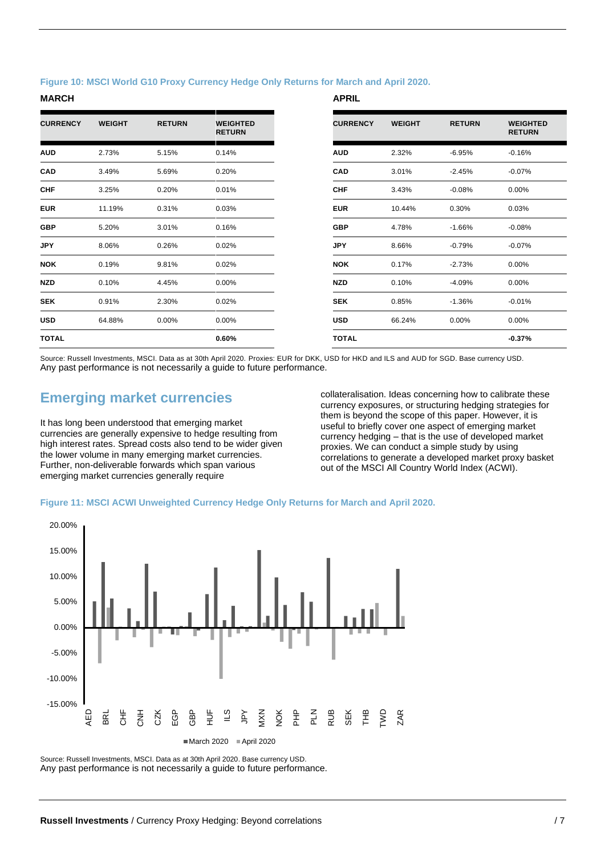#### **Figure 10: MSCI World G10 Proxy Currency Hedge Only Returns for March and April 2020.**

#### **MARCH APRIL**

| <b>CURRENCY</b> | <b>WEIGHT</b> | <b>RETURN</b> | <b>WEIGHTED</b><br><b>RETURN</b> |
|-----------------|---------------|---------------|----------------------------------|
| <b>AUD</b>      | 2.73%         | 5.15%         | 0.14%                            |
| <b>CAD</b>      | 3.49%         | 5.69%         | 0.20%                            |
| <b>CHF</b>      | 3.25%         | 0.20%         | 0.01%                            |
| <b>EUR</b>      | 11.19%        | 0.31%         | 0.03%                            |
| <b>GBP</b>      | 5.20%         | 3.01%         | 0.16%                            |
| <b>JPY</b>      | 8.06%         | 0.26%         | 0.02%                            |
| <b>NOK</b>      | 0.19%         | 9.81%         | 0.02%                            |
| <b>NZD</b>      | 0.10%         | 4.45%         | 0.00%                            |
| <b>SEK</b>      | 0.91%         | 2.30%         | 0.02%                            |
| <b>USD</b>      | 64.88%        | 0.00%         | 0.00%                            |
| <b>TOTAL</b>    |               |               | 0.60%                            |

Source: Russell Investments, MSCI. Data as at 30th April 2020. Proxies: EUR for DKK, USD for HKD and ILS and AUD for SGD. Base currency USD. Any past performance is not necessarily a guide to future performance.

## **Emerging market currencies**

It has long been understood that emerging market currencies are generally expensive to hedge resulting from high interest rates. Spread costs also tend to be wider given the lower volume in many emerging market currencies. Further, non-deliverable forwards which span various emerging market currencies generally require

collateralisation. Ideas concerning how to calibrate these currency exposures, or structuring hedging strategies for them is beyond the scope of this paper. However, it is useful to briefly cover one aspect of emerging market currency hedging – that is the use of developed market proxies. We can conduct a simple study by using correlations to generate a developed market proxy basket out of the MSCI All Country World Index (ACWI).

#### **Figure 11: MSCI ACWI Unweighted Currency Hedge Only Returns for March and April 2020.**



Source: Russell Investments, MSCI. Data as at 30th April 2020. Base currency USD. Any past performance is not necessarily a guide to future performance.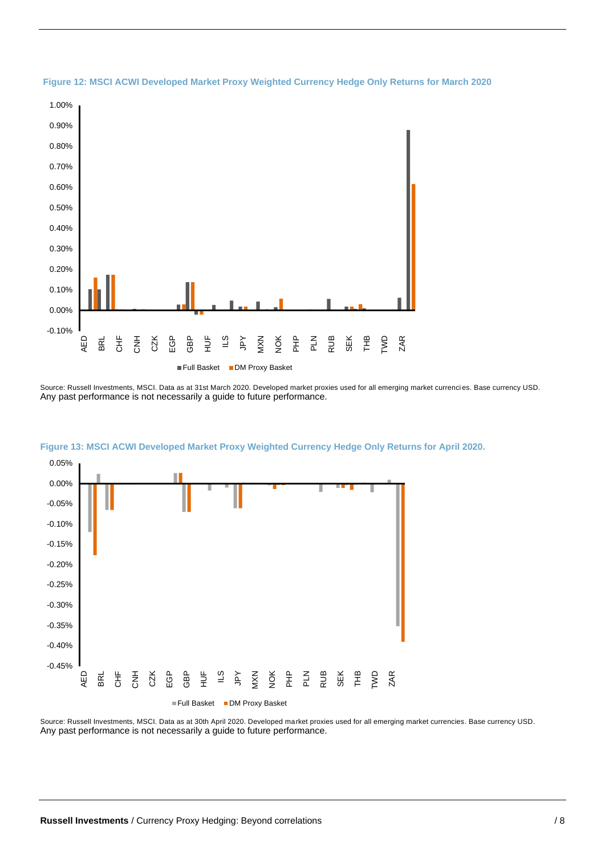



Source: Russell Investments, MSCI. Data as at 31st March 2020. Developed market proxies used for all emerging market currenci es. Base currency USD. Any past performance is not necessarily a guide to future performance.



**Figure 13: MSCI ACWI Developed Market Proxy Weighted Currency Hedge Only Returns for April 2020.**

Source: Russell Investments, MSCI. Data as at 30th April 2020. Developed market proxies used for all emerging market currencies. Base currency USD. Any past performance is not necessarily a guide to future performance.